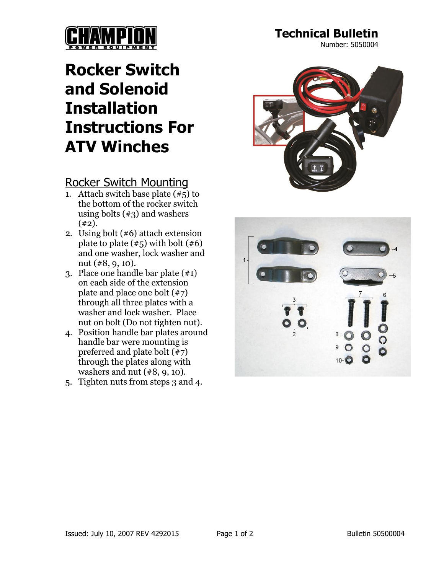

**Technical Bulletin**

Number: 5050004

## **Rocker Switch and Solenoid Installation Instructions For ATV Winches**

## Rocker Switch Mounting

- 1. Attach switch base plate  $(\overline{45})$  to the bottom of the rocker switch using bolts  $(\#3)$  and washers  $(42)$ .
- 2. Using bolt (#6) attach extension plate to plate  $(\#5)$  with bolt  $(\#6)$ and one washer, lock washer and nut (#8, 9, 10).
- 3. Place one handle bar plate (#1) on each side of the extension plate and place one bolt (#7) through all three plates with a washer and lock washer. Place nut on bolt (Do not tighten nut).
- 4. Position handle bar plates around handle bar were mounting is preferred and plate bolt  $(\overline{47})$ through the plates along with washers and nut (#8, 9, 10).
- 5. Tighten nuts from steps 3 and 4.